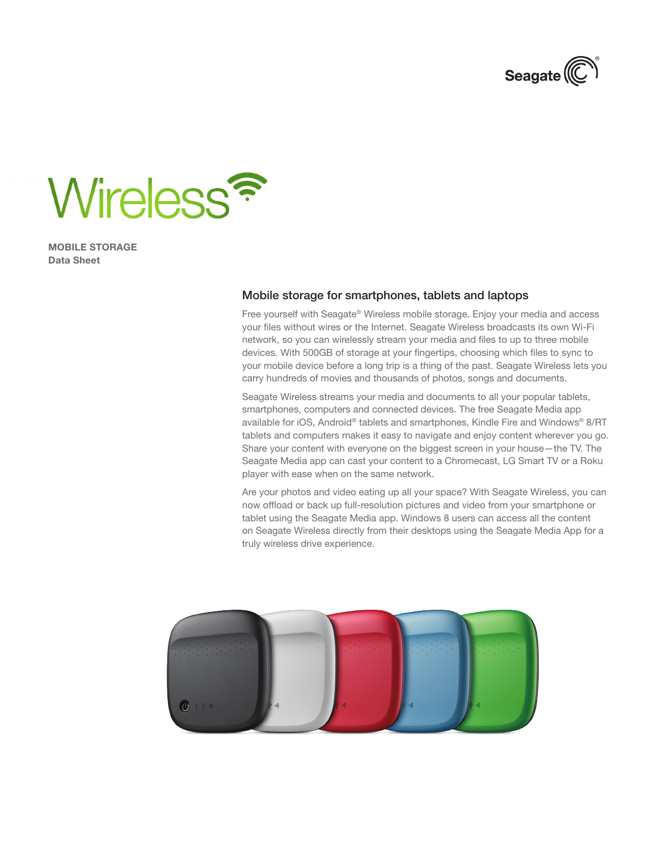



MOBILE STORAGE Data Sheet

## Mobile storage for smartphones, tablets and laptops

Free yourself with Seagate® Wireless mobile storage. Enjoy your media and access your files without wires or the Internet. Seagate Wireless broadcasts its own Wi-Fi network, so you can wirelessly stream your media and files to up to three mobile devices. With 500GB of storage at your fingertips, choosing which files to sync to your mobile device before a long trip is a thing of the past. Seagate Wireless lets you carry hundreds of movies and thousands of photos, songs and documents.

Seagate Wireless streams your media and documents to all your popular tablets, smartphones, computers and connected devices. The free Seagate Media app available for iOS, Android® tablets and smartphones, Kindle Fire and Windows® 8/RT tablets and computers makes it easy to navigate and enjoy content wherever you go. Share your content with everyone on the biggest screen in your house—the TV. The Seagate Media app can cast your content to a Chromecast, LG Smart TV or a Roku player with ease when on the same network.

Are your photos and video eating up all your space? With Seagate Wireless, you can now offload or back up full-resolution pictures and video from your smartphone or tablet using the Seagate Media app. Windows 8 users can access all the content on Seagate Wireless directly from their desktops using the Seagate Media App for a truly wireless drive experience.